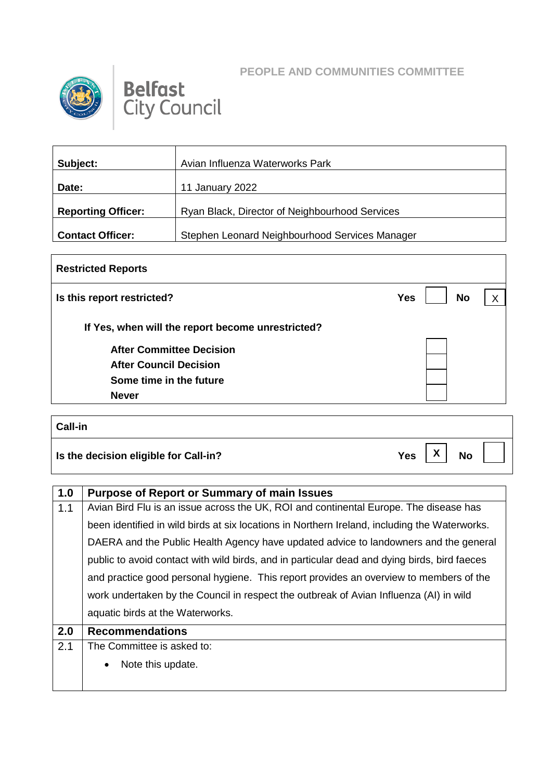



## **Belfast**<br>City Council

| Subject:                  | Avian Influenza Waterworks Park                |
|---------------------------|------------------------------------------------|
| Date:                     | 11 January 2022                                |
| <b>Reporting Officer:</b> | Ryan Black, Director of Neighbourhood Services |
| <b>Contact Officer:</b>   | Stephen Leonard Neighbourhood Services Manager |

| <b>Restricted Reports</b>                         |                              |
|---------------------------------------------------|------------------------------|
| Is this report restricted?                        | <b>Yes</b><br><b>No</b><br>X |
| If Yes, when will the report become unrestricted? |                              |
| <b>After Committee Decision</b>                   |                              |
| <b>After Council Decision</b>                     |                              |
| Some time in the future                           |                              |
| <b>Never</b>                                      |                              |
| Call-in                                           |                              |
| Is the decision eligible for Call-in?             | <b>Yes</b><br><b>No</b>      |

| 1.0 | <b>Purpose of Report or Summary of main Issues</b>                                            |
|-----|-----------------------------------------------------------------------------------------------|
| 1.1 | Avian Bird Flu is an issue across the UK, ROI and continental Europe. The disease has         |
|     | been identified in wild birds at six locations in Northern Ireland, including the Waterworks. |
|     | DAERA and the Public Health Agency have updated advice to landowners and the general          |
|     | public to avoid contact with wild birds, and in particular dead and dying birds, bird faeces  |
|     | and practice good personal hygiene. This report provides an overview to members of the        |
|     | work undertaken by the Council in respect the outbreak of Avian Influenza (AI) in wild        |
|     | aquatic birds at the Waterworks.                                                              |
| 2.0 | <b>Recommendations</b>                                                                        |
| 2.1 | The Committee is asked to:                                                                    |
|     | Note this update.                                                                             |
|     |                                                                                               |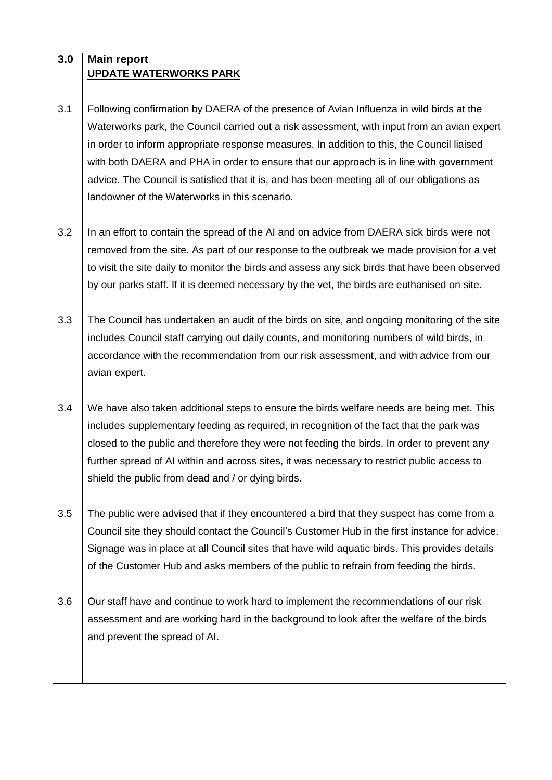| 3.0 | <b>Main report</b>                                                                             |
|-----|------------------------------------------------------------------------------------------------|
|     | <b>UPDATE WATERWORKS PARK</b>                                                                  |
|     |                                                                                                |
| 3.1 | Following confirmation by DAERA of the presence of Avian Influenza in wild birds at the        |
|     | Waterworks park, the Council carried out a risk assessment, with input from an avian expert    |
|     | in order to inform appropriate response measures. In addition to this, the Council liaised     |
|     | with both DAERA and PHA in order to ensure that our approach is in line with government        |
|     | advice. The Council is satisfied that it is, and has been meeting all of our obligations as    |
|     | landowner of the Waterworks in this scenario.                                                  |
|     |                                                                                                |
| 3.2 | In an effort to contain the spread of the AI and on advice from DAERA sick birds were not      |
|     | removed from the site. As part of our response to the outbreak we made provision for a vet     |
|     | to visit the site daily to monitor the birds and assess any sick birds that have been observed |
|     | by our parks staff. If it is deemed necessary by the vet, the birds are euthanised on site.    |
|     |                                                                                                |
| 3.3 | The Council has undertaken an audit of the birds on site, and ongoing monitoring of the site   |
|     | includes Council staff carrying out daily counts, and monitoring numbers of wild birds, in     |
|     | accordance with the recommendation from our risk assessment, and with advice from our          |
|     | avian expert.                                                                                  |
|     |                                                                                                |
| 3.4 | We have also taken additional steps to ensure the birds welfare needs are being met. This      |
|     | includes supplementary feeding as required, in recognition of the fact that the park was       |
|     | closed to the public and therefore they were not feeding the birds. In order to prevent any    |
|     | further spread of AI within and across sites, it was necessary to restrict public access to    |
|     | shield the public from dead and / or dying birds.                                              |
|     |                                                                                                |
| 3.5 | The public were advised that if they encountered a bird that they suspect has come from a      |
|     | Council site they should contact the Council's Customer Hub in the first instance for advice.  |
|     | Signage was in place at all Council sites that have wild aquatic birds. This provides details  |
|     | of the Customer Hub and asks members of the public to refrain from feeding the birds.          |
|     |                                                                                                |
| 3.6 | Our staff have and continue to work hard to implement the recommendations of our risk          |
|     | assessment and are working hard in the background to look after the welfare of the birds       |
|     | and prevent the spread of AI.                                                                  |
|     |                                                                                                |
|     |                                                                                                |
|     |                                                                                                |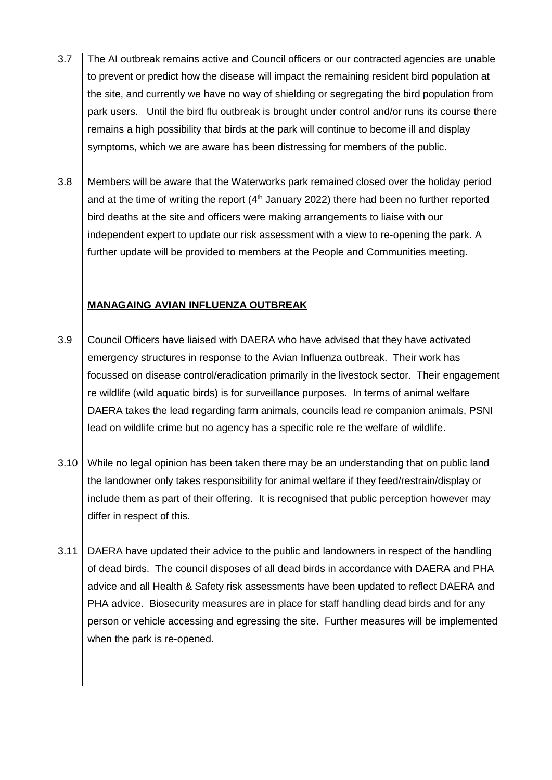- 3.7 The AI outbreak remains active and Council officers or our contracted agencies are unable to prevent or predict how the disease will impact the remaining resident bird population at the site, and currently we have no way of shielding or segregating the bird population from park users. Until the bird flu outbreak is brought under control and/or runs its course there remains a high possibility that birds at the park will continue to become ill and display symptoms, which we are aware has been distressing for members of the public.
- 3.8 Members will be aware that the Waterworks park remained closed over the holiday period and at the time of writing the report ( $4<sup>th</sup>$  January 2022) there had been no further reported bird deaths at the site and officers were making arrangements to liaise with our independent expert to update our risk assessment with a view to re-opening the park. A further update will be provided to members at the People and Communities meeting.

## **MANAGAING AVIAN INFLUENZA OUTBREAK**

- 3.9 Council Officers have liaised with DAERA who have advised that they have activated emergency structures in response to the Avian Influenza outbreak. Their work has focussed on disease control/eradication primarily in the livestock sector. Their engagement re wildlife (wild aquatic birds) is for surveillance purposes. In terms of animal welfare DAERA takes the lead regarding farm animals, councils lead re companion animals, PSNI lead on wildlife crime but no agency has a specific role re the welfare of wildlife.
- 3.10 While no legal opinion has been taken there may be an understanding that on public land the landowner only takes responsibility for animal welfare if they feed/restrain/display or include them as part of their offering. It is recognised that public perception however may differ in respect of this.
- 3.11 DAERA have updated their advice to the public and landowners in respect of the handling of dead birds. The council disposes of all dead birds in accordance with DAERA and PHA advice and all Health & Safety risk assessments have been updated to reflect DAERA and PHA advice. Biosecurity measures are in place for staff handling dead birds and for any person or vehicle accessing and egressing the site. Further measures will be implemented when the park is re-opened.